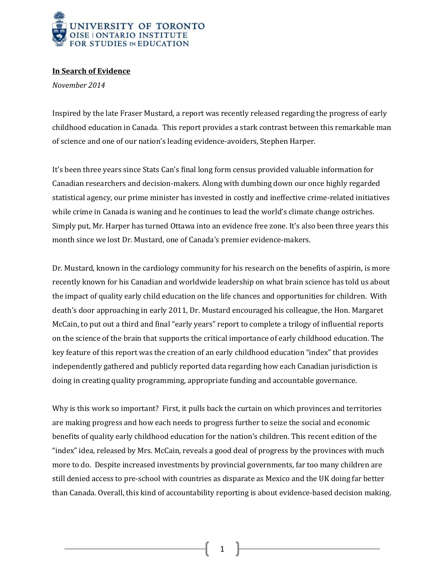

## **In Search of Evidence**

*November 2014*

Inspired by the late Fraser Mustard, a report was recently released regarding the progress of early childhood education in Canada. This report provides a stark contrast between this remarkable man of science and one of our nation's leading evidence-avoiders, Stephen Harper.

It's been three years since Stats Can's final long form census provided valuable information for Canadian researchers and decision-makers. Along with dumbing down our once highly regarded statistical agency, our prime minister has invested in costly and ineffective crime-related initiatives while crime in Canada is waning and he continues to lead the world's climate change ostriches. Simply put, Mr. Harper has turned Ottawa into an evidence free zone. It's also been three years this month since we lost Dr. Mustard, one of Canada's premier evidence-makers.

Dr. Mustard, known in the cardiology community for his research on the benefits of aspirin, is more recently known for his Canadian and worldwide leadership on what brain science has told us about the impact of quality early child education on the life chances and opportunities for children. With death's door approaching in early 2011, Dr. Mustard encouraged his colleague, the Hon. Margaret McCain, to put out a third and final "early years" report to complete a trilogy of influential reports on the science of the brain that supports the critical importance of early childhood education. The key feature of this report was the creation of an early childhood education "index" that provides independently gathered and publicly reported data regarding how each Canadian jurisdiction is doing in creating quality programming, appropriate funding and accountable governance.

Why is this work so important? First, it pulls back the curtain on which provinces and territories are making progress and how each needs to progress further to seize the social and economic benefits of quality early childhood education for the nation's children. This recent edition of the "index" idea, released by Mrs. McCain, reveals a good deal of progress by the provinces with much more to do. Despite increased investments by provincial governments, far too many children are still denied access to pre-school with countries as disparate as Mexico and the UK doing far better than Canada. Overall, this kind of accountability reporting is about evidence-based decision making.